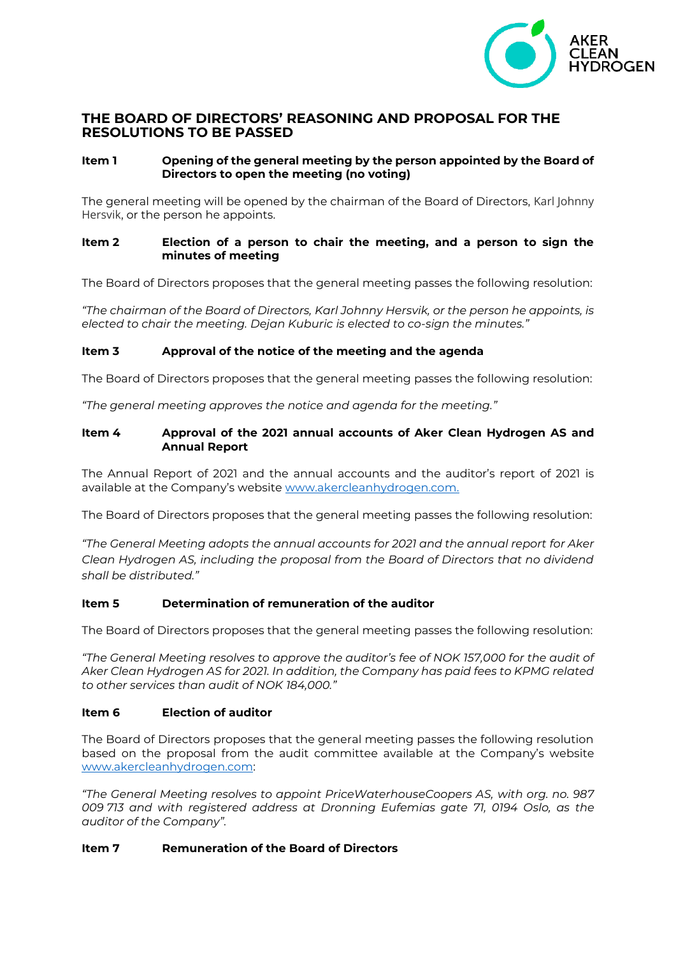

# **THE BOARD OF DIRECTORS' REASONING AND PROPOSAL FOR THE RESOLUTIONS TO BE PASSED**

# **Item 1 Opening of the general meeting by the person appointed by the Board of Directors to open the meeting (no voting)**

The general meeting will be opened by the chairman of the Board of Directors, Karl Johnny Hersvik, or the person he appoints.

## **Item 2 Election of a person to chair the meeting, and a person to sign the minutes of meeting**

The Board of Directors proposes that the general meeting passes the following resolution:

*"The chairman of the Board of Directors, Karl Johnny Hersvik, or the person he appoints, is elected to chair the meeting. Dejan Kuburic is elected to co-sign the minutes."*

## **Item 3 Approval of the notice of the meeting and the agenda**

The Board of Directors proposes that the general meeting passes the following resolution:

*"The general meeting approves the notice and agenda for the meeting."*

## **Item 4 Approval of the 2021 annual accounts of Aker Clean Hydrogen AS and Annual Report**

The Annual Report of 2021 and the annual accounts and the auditor's report of 2021 is available at the Company's website [www.akercleanhydrogen.com.](http://www.akercleanhydrogen.com/)

The Board of Directors proposes that the general meeting passes the following resolution:

*"The General Meeting adopts the annual accounts for 2021 and the annual report for Aker Clean Hydrogen AS, including the proposal from the Board of Directors that no dividend shall be distributed."* 

## **Item 5 Determination of remuneration of the auditor**

The Board of Directors proposes that the general meeting passes the following resolution:

*"The General Meeting resolves to approve the auditor's fee of NOK 157,000 for the audit of Aker Clean Hydrogen AS for 2021. In addition, the Company has paid fees to KPMG related to other services than audit of NOK 184,000."*

## **Item 6 Election of auditor**

The Board of Directors proposes that the general meeting passes the following resolution based on the proposal from the audit committee available at the Company's website [www.akercleanhydrogen.com:](http://www.akercleanhydrogen.com/)

*"The General Meeting resolves to appoint PriceWaterhouseCoopers AS, with org. no. 987 009 713 and with registered address at Dronning Eufemias gate 71, 0194 Oslo, as the auditor of the Company".* 

# **Item 7 Remuneration of the Board of Directors**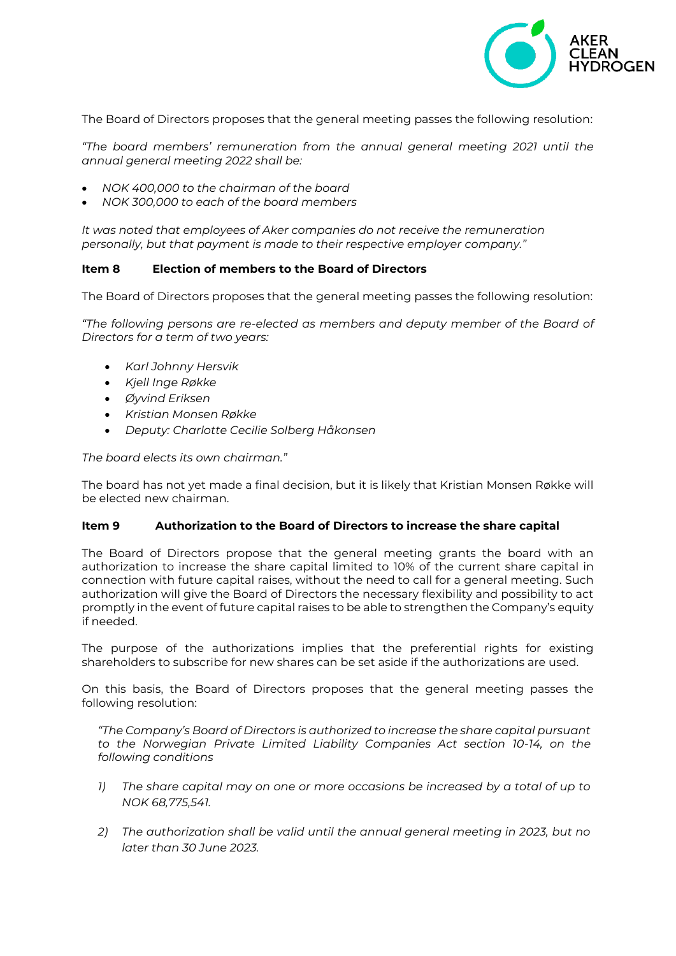

The Board of Directors proposes that the general meeting passes the following resolution:

*"The board members' remuneration from the annual general meeting 2021 until the annual general meeting 2022 shall be:*

- *NOK 400,000 to the chairman of the board*
- *NOK 300,000 to each of the board members*

*It was noted that employees of Aker companies do not receive the remuneration personally, but that payment is made to their respective employer company."*

#### **Item 8 Election of members to the Board of Directors**

The Board of Directors proposes that the general meeting passes the following resolution:

*"The following persons are re-elected as members and deputy member of the Board of Directors for a term of two years:*

- *Karl Johnny Hersvik*
- *Kjell Inge Røkke*
- *Øyvind Eriksen*
- *Kristian Monsen Røkke*
- *Deputy: Charlotte Cecilie Solberg Håkonsen*

*The board elects its own chairman."*

The board has not yet made a final decision, but it is likely that Kristian Monsen Røkke will be elected new chairman.

#### **Item 9 Authorization to the Board of Directors to increase the share capital**

The Board of Directors propose that the general meeting grants the board with an authorization to increase the share capital limited to 10% of the current share capital in connection with future capital raises, without the need to call for a general meeting. Such authorization will give the Board of Directors the necessary flexibility and possibility to act promptly in the event of future capital raises to be able to strengthen the Company's equity if needed.

The purpose of the authorizations implies that the preferential rights for existing shareholders to subscribe for new shares can be set aside if the authorizations are used.

On this basis, the Board of Directors proposes that the general meeting passes the following resolution:

*"The Company's Board of Directors is authorized to increase the share capital pursuant to the Norwegian Private Limited Liability Companies Act section 10-14, on the following conditions*

- *1) The share capital may on one or more occasions be increased by a total of up to NOK 68,775,541.*
- *2) The authorization shall be valid until the annual general meeting in 2023, but no later than 30 June 2023.*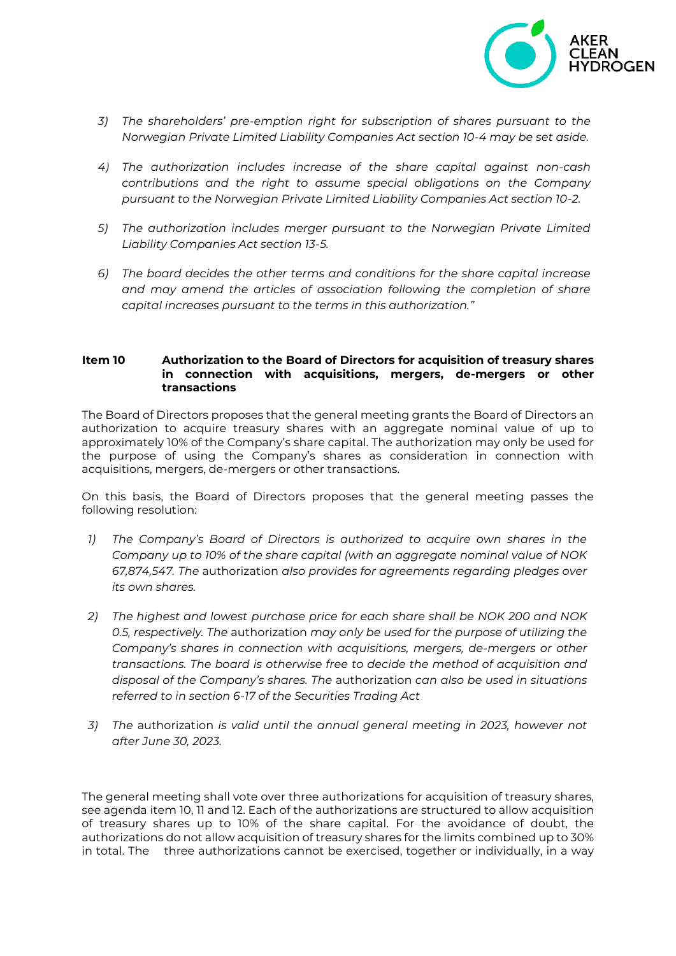

- *3) The shareholders' pre-emption right for subscription of shares pursuant to the Norwegian Private Limited Liability Companies Act section 10-4 may be set aside.*
- *4) The authorization includes increase of the share capital against non-cash contributions and the right to assume special obligations on the Company pursuant to the Norwegian Private Limited Liability Companies Act section 10-2.*
- *5) The authorization includes merger pursuant to the Norwegian Private Limited Liability Companies Act section 13-5.*
- *6) The board decides the other terms and conditions for the share capital increase and may amend the articles of association following the completion of share capital increases pursuant to the terms in this authorization."*

#### **Item 10 Authorization to the Board of Directors for acquisition of treasury shares in connection with acquisitions, mergers, de-mergers or other transactions**

The Board of Directors proposes that the general meeting grants the Board of Directors an authorization to acquire treasury shares with an aggregate nominal value of up to approximately 10% of the Company's share capital. The authorization may only be used for the purpose of using the Company's shares as consideration in connection with acquisitions, mergers, de-mergers or other transactions.

On this basis, the Board of Directors proposes that the general meeting passes the following resolution:

- *1) The Company's Board of Directors is authorized to acquire own shares in the Company up to 10% of the share capital (with an aggregate nominal value of NOK 67,874,547. The* authorization *also provides for agreements regarding pledges over its own shares.*
- *2) The highest and lowest purchase price for each share shall be NOK 200 and NOK 0.5, respectively. The* authorization *may only be used for the purpose of utilizing the Company's shares in connection with acquisitions, mergers, de-mergers or other transactions. The board is otherwise free to decide the method of acquisition and disposal of the Company's shares. The* authorization *can also be used in situations referred to in section 6-17 of the Securities Trading Act*
- *3) The* authorization *is valid until the annual general meeting in 2023, however not after June 30, 2023.*

The general meeting shall vote over three authorizations for acquisition of treasury shares, see agenda item 10, 11 and 12. Each of the authorizations are structured to allow acquisition of treasury shares up to 10% of the share capital. For the avoidance of doubt, the authorizations do not allow acquisition of treasury shares for the limits combined up to 30% in total. The three authorizations cannot be exercised, together or individually, in a way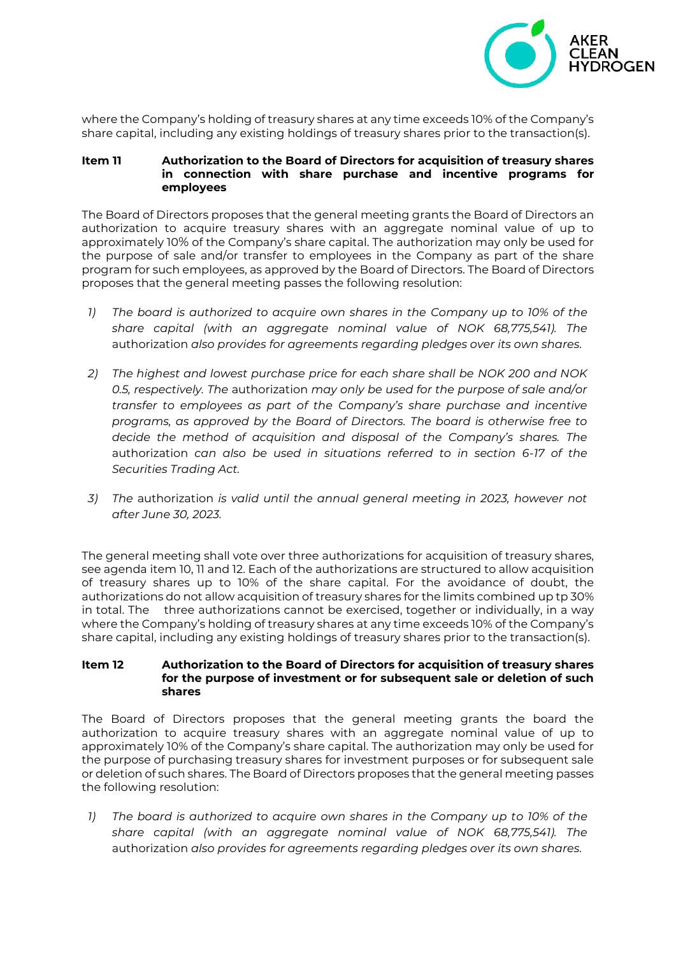

where the Company's holding of treasury shares at any time exceeds 10% of the Company's share capital, including any existing holdings of treasury shares prior to the transaction(s).

#### **Item 11 Authorization to the Board of Directors for acquisition of treasury shares in connection with share purchase and incentive programs for employees**

The Board of Directors proposes that the general meeting grants the Board of Directors an authorization to acquire treasury shares with an aggregate nominal value of up to approximately 10% of the Company's share capital. The authorization may only be used for the purpose of sale and/or transfer to employees in the Company as part of the share program for such employees, as approved by the Board of Directors. The Board of Directors proposes that the general meeting passes the following resolution:

- *1) The board is authorized to acquire own shares in the Company up to 10% of the share capital (with an aggregate nominal value of NOK 68,775,541). The* authorization *also provides for agreements regarding pledges over its own shares.*
- *2) The highest and lowest purchase price for each share shall be NOK 200 and NOK 0.5, respectively. The* authorization *may only be used for the purpose of sale and/or transfer to employees as part of the Company's share purchase and incentive programs, as approved by the Board of Directors. The board is otherwise free to decide the method of acquisition and disposal of the Company's shares. The*  authorization *can also be used in situations referred to in section 6-17 of the Securities Trading Act.*
- *3) The* authorization *is valid until the annual general meeting in 2023, however not after June 30, 2023.*

The general meeting shall vote over three authorizations for acquisition of treasury shares, see agenda item 10, 11 and 12. Each of the authorizations are structured to allow acquisition of treasury shares up to 10% of the share capital. For the avoidance of doubt, the authorizations do not allow acquisition of treasury shares for the limits combined up tp 30% in total. The three authorizations cannot be exercised, together or individually, in a way where the Company's holding of treasury shares at any time exceeds 10% of the Company's share capital, including any existing holdings of treasury shares prior to the transaction(s).

#### **Item 12 Authorization to the Board of Directors for acquisition of treasury shares for the purpose of investment or for subsequent sale or deletion of such shares**

The Board of Directors proposes that the general meeting grants the board the authorization to acquire treasury shares with an aggregate nominal value of up to approximately 10% of the Company's share capital. The authorization may only be used for the purpose of purchasing treasury shares for investment purposes or for subsequent sale or deletion of such shares. The Board of Directors proposes that the general meeting passes the following resolution:

*1) The board is authorized to acquire own shares in the Company up to 10% of the share capital (with an aggregate nominal value of NOK 68,775,541). The* authorization *also provides for agreements regarding pledges over its own shares.*